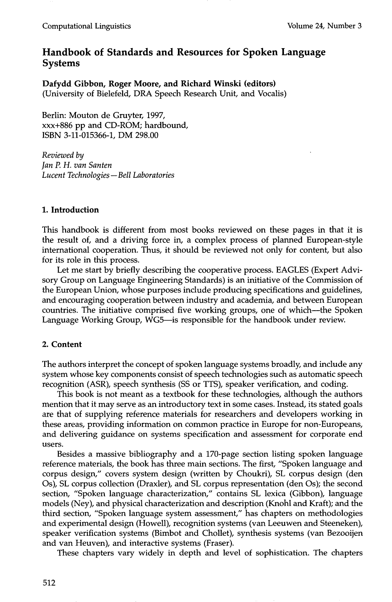# **Handbook of Standards and Resources for Spoken Language Systems**

**Dafydd Gibbon, Roger Moore, and Richard Winski (editors)**  (University of Bielefeld, DRA Speech Research Unit, and Vocalis)

Berlin: Mouton de Gruyter, 1997, xxx+886 pp and CD-ROM; hardbound, ISBN 3-11-015366-1, DM 298.00

*Reviewed by Jan P. H. van Santen Lucent Technologies--Bell Laboratories* 

## **1. Introduction**

This handbook is different from most books reviewed on these pages in that it is the result of, and a driving force in, a complex process of planned European-style international cooperation. Thus, it should be reviewed not only for content, but also for its role in this process.

Let me start by briefly describing the cooperative process. EAGLES (Expert Advisory Group on Language Engineering Standards) is an initiative of the Commission of the European Union, whose purposes include producing specifications and guidelines, and encouraging cooperation between industry and academia, and between European countries. The initiative comprised five working groups, one of which--the Spoken Language Working Group, WG5-is responsible for the handbook under review.

### **2. Content**

The authors interpret the concept of spoken language systems broadly, and include any system whose key components consist of speech technologies such as automatic speech recognition (ASR), speech synthesis (SS or TTS), speaker verification, and coding.

This book is not meant as a textbook for these technologies, although the authors mention that it may serve as an introductory text in some cases. Instead, its stated goals are that of supplying reference materials for researchers and developers working in these areas, providing information on common practice in Europe for non-Europeans, and delivering guidance on systems specification and assessment for corporate end users.

Besides a massive bibliography and a 170-page section listing spoken language reference materials, the book has three main sections. The first, "Spoken language and corpus design," covers system design (written by Choukri), SL corpus design (den Os), SL corpus collection (Draxler), and SL corpus representation (den Os); the second section, "Spoken language characterization," contains SL lexica (Gibbon), language models (Ney), and physical characterization and description (Knohl and Kraft); and the third section, "Spoken language system assessment," has chapters on methodologies and experimental design (Howell), recognition systems (van Leeuwen and Steeneken), speaker verification systems (Bimbot and Chollet), synthesis systems (van Bezooijen and van Heuven), and interactive systems (Fraser).

These chapters vary widely in depth and level of sophistication. The chapters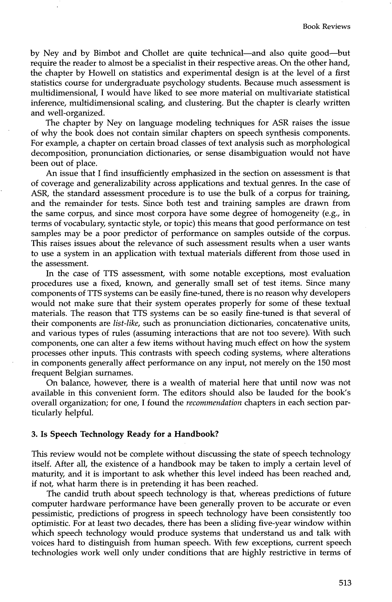by Ney and by Bimbot and Chollet are quite technical--and also quite good--but require the reader to almost be a specialist in their respective areas. On the other hand, the chapter by Howell on statistics and experimental design is at the level of a first statistics course for undergraduate psychology students. Because much assessment is multidimensional I would have liked to see more material on multivariate statistical inference, multidimensional scaling, and clustering. But the chapter is clearly written and well-organized.

The chapter by Ney on language modeling techniques for ASR raises the issue of why the book does not contain similar chapters on speech synthesis components. For example, a chapter on certain broad classes of text analysis such as morphological decomposition, pronunciation dictionaries, or sense disambiguation would not have been out of place.

An issue that I find insufficiently emphasized in the section on assessment is that of coverage and generalizability across applications and textual genres. In the case of ASR, the standard assessment procedure is to use the bulk of a corpus for training, and the remainder for tests. Since both test and training samples are drawn from the same corpus, and since most corpora have some degree of homogeneity (e.g., in terms of vocabulary, syntactic style, or topic) this means that good performance on test samples may be a poor predictor of performance on samples outside of the corpus. This raises issues about the relevance of such assessment results when a user wants to use a system in an application with textual materials different from those used in the assessment.

In the case of TTS assessment, with some notable exceptions, most evaluation procedures use a fixed, known, and generally small set of test items. Since many components of TTS systems can be easily fine-tuned, there is no reason why developers would not make sure that their system operates properly for some of these textual materials. The reason that TTS systems can be so easily fine-tuned is that several of their components are *list-like,* such as pronunciation dictionaries, concatenative units, and various types of rules (assuming interactions that are not too severe). With such components, one can alter a few items without having much effect on how the system processes other inputs. This contrasts with speech coding systems, where alterations in components generally affect performance on any input, not merely on the 150 most frequent Belgian surnames.

On balance, however, there is a wealth of material here that until now was not available in this convenient form. The editors should also be lauded for the book's overall organization; for one, I found the *recommendation* chapters in each section particularly helpful.

#### **3. Is Speech Technology Ready for a Handbook?**

This review would not be complete without discussing the state of speech technology itself. After all, the existence of a handbook may be taken to imply a certain level of maturity, and it is important to ask whether this level indeed has been reached and, if not, what harm there is in pretending it has been reached.

The candid truth about speech technology is that, whereas predictions of future computer hardware performance have been generally proven to be accurate or even pessimistic, predictions of progress in speech technology have been consistently too optimistic. For at least two decades, there has been a sliding five-year window within which speech technology would produce systems that understand us and talk with voices hard to distinguish from human speech. With few exceptions, current speech technologies work well only under conditions that are highly restrictive in terms of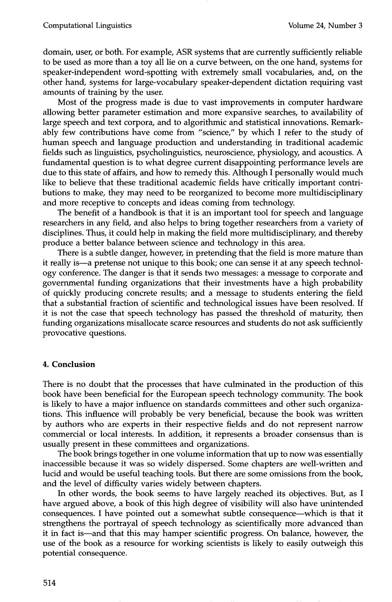domain, user, or both. For example, ASR systems that are currently sufficiently reliable to be used as more than a toy all lie on a curve between, on the one hand, systems for speaker-independent word-spotting with extremely small vocabularies, and, on the other hand, systems for large-vocabulary speaker-dependent dictation requiring vast amounts of training by the user.

Most of the progress made is due to vast improvements in computer hardware allowing better parameter estimation and more expansive searches, to availability of large speech and text corpora, and to algorithmic and statistical innovations. Remarkably few contributions have come from "science," by which I refer to the study of human speech and language production and understanding in traditional academic fields such as linguistics, psycholinguistics, neuroscience, physiology, and acoustics. A fundamental question is to what degree current disappointing performance levels are due to this state of affairs, and how to remedy this. Although I personally would much like to believe that these traditional academic fields have critically important contributions to make, they may need to be reorganized to become more multidisciplinary and more receptive to concepts and ideas coming from technology.

The benefit of a handbook is that it is an important tool for speech and language researchers in any field, and also helps to bring together researchers from a variety of disciplines. Thus, it could help in making the field more multidisciplinary, and thereby produce a better balance between science and technology in this area.

There is a subtle danger, however, in pretending that the field is more mature than it really is--a pretense not unique to this book; one can sense it at any speech technology conference. The danger is that it sends two messages: a message to corporate and governmental funding organizations that their investments have a high probability of quickly producing concrete results; and a message to students entering the field that a substantial fraction of scientific and technological issues have been resolved. If it is not the case that speech technology has passed the threshold of maturity, then funding organizations misallocate scarce resources and students do not ask sufficiently provocative questions.

### **4. Conclusion**

There is no doubt that the processes that have culminated in the production of this book have been beneficial for the European speech technology community. The book is likely to have a major influence on standards committees and other such organizations. This influence will probably be very beneficial, because the book was written by authors who are experts in their respective fields and do not represent narrow commercial or local interests. In addition, it represents a broader consensus than is usually present in these committees and organizations.

The book brings together in one volume information that up to now was essentially inaccessible because it was so widely dispersed. Some chapters are well-written and lucid and would be useful teaching tools. But there are some omissions from the book, and the level of difficulty varies widely between chapters.

In other words, the book seems to have largely reached its objectives. But, as I have argued above, a book of this high degree of visibility will also have unintended consequences. I have pointed out a somewhat subtle consequence which is that it strengthens the portrayal of speech technology as scientifically more advanced than it in fact is--and that this may hamper scientific progress. On balance, however, the use of the book as a resource for working scientists is likely to easily outweigh this potential consequence.